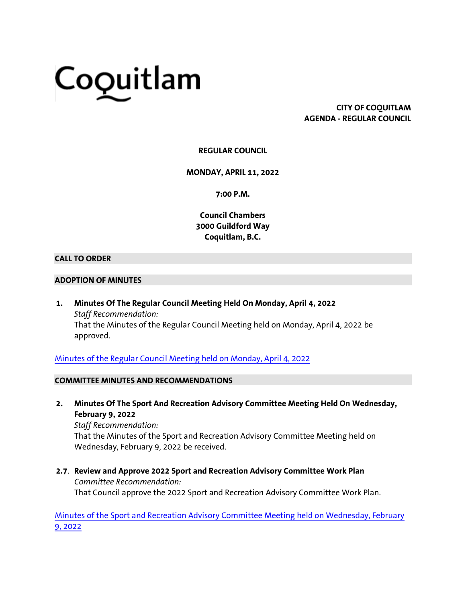# Coquitlam

# **CITY OF COQUITLAM AGENDA - REGULAR COUNCIL**

# **REGULAR COUNCIL**

#### **MONDAY, APRIL 11, 2022**

**7:00 P.M.**

**Council Chambers 3000 Guildford Way Coquitlam, B.C.**

#### **CALL TO ORDER**

#### **ADOPTION OF MINUTES**

**1. Minutes Of The Regular Council Meeting Held On Monday, April 4, 2022** *Staff Recommendation:* That the Minutes of the Regular Council Meeting held on Monday, April 4, 2022 be approved.

[Minutes of the Regular Council Meeting held on Monday, April 4, 2022](https://coquitlam.ca.granicus.com/MetaViewer.php?view_id=2&event_id=1298&meta_id=54547)

## **COMMITTEE MINUTES AND RECOMMENDATIONS**

**2. Minutes Of The Sport And Recreation Advisory Committee Meeting Held On Wednesday, February 9, 2022**

*Staff Recommendation:* That the Minutes of the Sport and Recreation Advisory Committee Meeting held on Wednesday, February 9, 2022 be received.

**2.7**. **Review and Approve 2022 Sport and Recreation Advisory Committee Work Plan** *Committee Recommendation:* That Council approve the 2022 Sport and Recreation Advisory Committee Work Plan.

[Minutes of the Sport and Recreation Advisory Committee Meeting held on Wednesday, February](https://coquitlam.ca.granicus.com/MetaViewer.php?view_id=2&event_id=1298&meta_id=54549)  [9, 2022](https://coquitlam.ca.granicus.com/MetaViewer.php?view_id=2&event_id=1298&meta_id=54549)